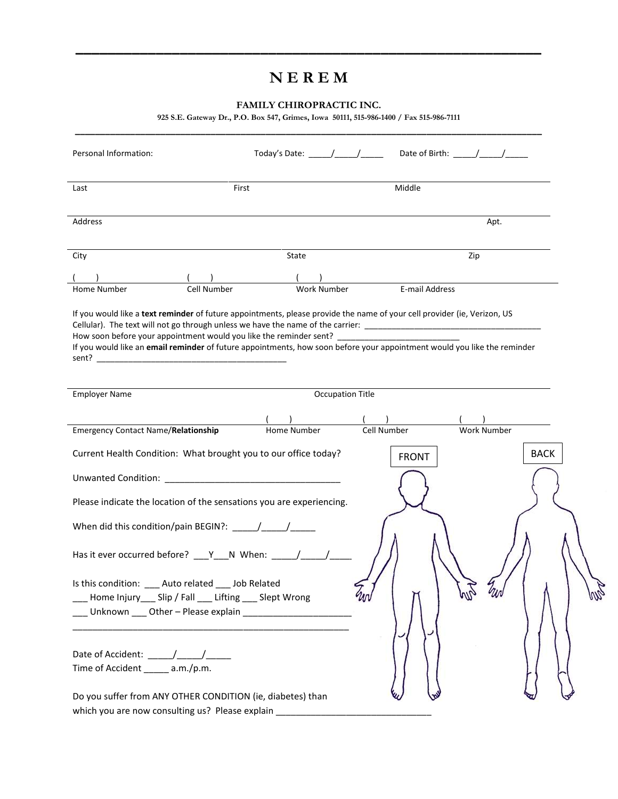# **N E R E M**

**\_\_\_\_\_\_\_\_\_\_\_\_\_\_\_\_\_\_\_\_\_\_\_\_\_\_\_\_\_\_\_\_\_\_\_\_\_\_\_\_\_\_\_\_\_\_\_\_\_\_\_\_\_\_\_\_\_\_**

## **FAMILY CHIROPRACTIC INC.**

**925 S.E. Gateway Dr., P.O. Box 547, Grimes, Iowa 50111, 515-986-1400 / Fax 515-986-7111**

| Personal Information:                                                                                                                                                                                                                                                                                                                                                                           | Today's Date: ______/______/______ |                         | Date of Birth: $\frac{1}{2}$ $\frac{1}{2}$ $\frac{1}{2}$ $\frac{1}{2}$ $\frac{1}{2}$ $\frac{1}{2}$ $\frac{1}{2}$ $\frac{1}{2}$ $\frac{1}{2}$ $\frac{1}{2}$ $\frac{1}{2}$ $\frac{1}{2}$ $\frac{1}{2}$ $\frac{1}{2}$ $\frac{1}{2}$ $\frac{1}{2}$ $\frac{1}{2}$ $\frac{1}{2}$ $\frac{1}{2}$ $\frac{1}{2}$ $\frac{1}{$ |
|-------------------------------------------------------------------------------------------------------------------------------------------------------------------------------------------------------------------------------------------------------------------------------------------------------------------------------------------------------------------------------------------------|------------------------------------|-------------------------|--------------------------------------------------------------------------------------------------------------------------------------------------------------------------------------------------------------------------------------------------------------------------------------------------------------------|
| Last                                                                                                                                                                                                                                                                                                                                                                                            | First                              | Middle                  |                                                                                                                                                                                                                                                                                                                    |
| Address                                                                                                                                                                                                                                                                                                                                                                                         |                                    |                         | Apt.                                                                                                                                                                                                                                                                                                               |
| City                                                                                                                                                                                                                                                                                                                                                                                            | State                              |                         | Zip                                                                                                                                                                                                                                                                                                                |
| <b>Cell Number</b><br>Home Number                                                                                                                                                                                                                                                                                                                                                               | <b>Work Number</b>                 | E-mail Address          |                                                                                                                                                                                                                                                                                                                    |
| If you would like a text reminder of future appointments, please provide the name of your cell provider (ie, Verizon, US<br>If you would like an email reminder of future appointments, how soon before your appointment would you like the reminder                                                                                                                                            |                                    |                         |                                                                                                                                                                                                                                                                                                                    |
| <b>Employer Name</b>                                                                                                                                                                                                                                                                                                                                                                            |                                    | <b>Occupation Title</b> |                                                                                                                                                                                                                                                                                                                    |
|                                                                                                                                                                                                                                                                                                                                                                                                 |                                    |                         |                                                                                                                                                                                                                                                                                                                    |
| <b>Emergency Contact Name/Relationship</b>                                                                                                                                                                                                                                                                                                                                                      | Home Number                        | Cell Number             | <b>Work Number</b>                                                                                                                                                                                                                                                                                                 |
| Current Health Condition: What brought you to our office today?                                                                                                                                                                                                                                                                                                                                 |                                    | <b>FRONT</b>            | <b>BACK</b>                                                                                                                                                                                                                                                                                                        |
|                                                                                                                                                                                                                                                                                                                                                                                                 |                                    |                         |                                                                                                                                                                                                                                                                                                                    |
| Please indicate the location of the sensations you are experiencing.                                                                                                                                                                                                                                                                                                                            |                                    |                         |                                                                                                                                                                                                                                                                                                                    |
| When did this condition/pain BEGIN?: $\frac{1}{\sqrt{1-\frac{1}{2}}}\frac{1}{\sqrt{1-\frac{1}{2}}}\frac{1}{\sqrt{1-\frac{1}{2}}}\frac{1}{\sqrt{1-\frac{1}{2}}}\frac{1}{\sqrt{1-\frac{1}{2}}}\frac{1}{\sqrt{1-\frac{1}{2}}}\frac{1}{\sqrt{1-\frac{1}{2}}}\frac{1}{\sqrt{1-\frac{1}{2}}}\frac{1}{\sqrt{1-\frac{1}{2}}}\frac{1}{\sqrt{1-\frac{1}{2}}}\frac{1}{\sqrt{1-\frac{1}{2}}}\frac{1}{\sqrt$ |                                    |                         |                                                                                                                                                                                                                                                                                                                    |
| Has it ever occurred before? ___Y___N When: _____/_____/_                                                                                                                                                                                                                                                                                                                                       |                                    |                         |                                                                                                                                                                                                                                                                                                                    |
| Is this condition: ____ Auto related ____ Job Related<br>Home Injury____ Slip / Fall ____ Lifting ____ Slept Wrong                                                                                                                                                                                                                                                                              |                                    |                         |                                                                                                                                                                                                                                                                                                                    |
| Time of Accident _____ a.m./p.m.                                                                                                                                                                                                                                                                                                                                                                |                                    |                         |                                                                                                                                                                                                                                                                                                                    |
| Do you suffer from ANY OTHER CONDITION (ie, diabetes) than                                                                                                                                                                                                                                                                                                                                      |                                    |                         |                                                                                                                                                                                                                                                                                                                    |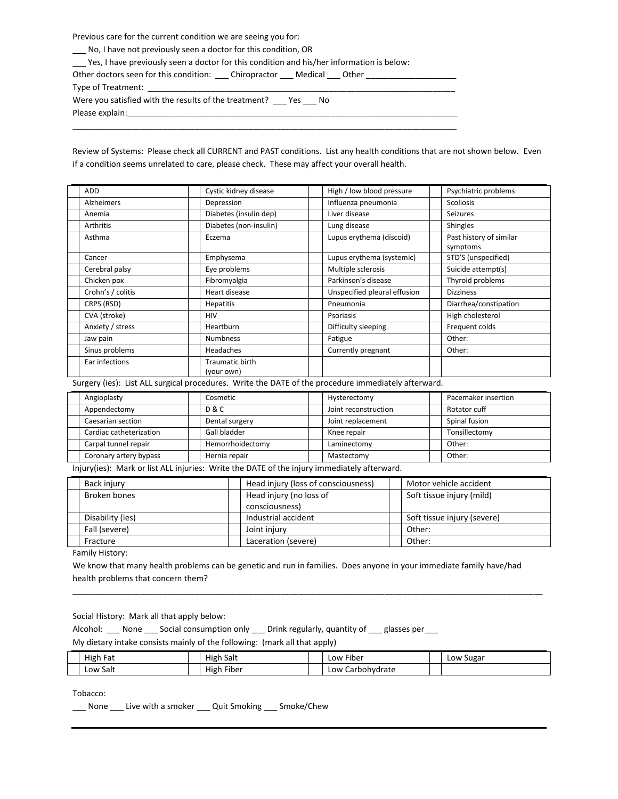Previous care for the current condition we are seeing you for:

\_\_\_ No, I have not previously seen a doctor for this condition, OR

\_\_\_ Yes, I have previously seen a doctor for this condition and his/her information is below:

Other doctors seen for this condition: \_\_\_\_ Chiropractor \_\_\_\_ Medical \_\_\_ Other \_\_\_ Type of Treatment: \_ Were you satisfied with the results of the treatment? \_\_\_ Yes \_\_\_ No Please explain:

\_\_\_\_\_\_\_\_\_\_\_\_\_\_\_\_\_\_\_\_\_\_\_\_\_\_\_\_\_\_\_\_\_\_\_\_\_\_\_\_\_\_\_\_\_\_\_\_\_\_\_\_\_\_\_\_\_\_\_\_\_\_\_\_\_\_\_\_\_\_\_\_\_\_\_\_\_\_\_\_\_\_\_\_\_

Review of Systems: Please check all CURRENT and PAST conditions. List any health conditions that are not shown below. Even if a condition seems unrelated to care, please check. These may affect your overall health.

| <b>ADD</b>        | Cystic kidney disease  | High / low blood pressure    | Psychiatric problems    |
|-------------------|------------------------|------------------------------|-------------------------|
| Alzheimers        | Depression             | Influenza pneumonia          | <b>Scoliosis</b>        |
| Anemia            | Diabetes (insulin dep) | Liver disease                | <b>Seizures</b>         |
| Arthritis         | Diabetes (non-insulin) | Lung disease                 | <b>Shingles</b>         |
| Asthma            | Eczema                 | Lupus erythema (discoid)     | Past history of similar |
|                   |                        |                              | symptoms                |
| Cancer            | Emphysema              | Lupus erythema (systemic)    | STD'S (unspecified)     |
| Cerebral palsy    | Eye problems           | Multiple sclerosis           | Suicide attempt(s)      |
| Chicken pox       | Fibromyalgia           | Parkinson's disease          | Thyroid problems        |
| Crohn's / colitis | Heart disease          | Unspecified pleural effusion | <b>Dizziness</b>        |
| CRPS (RSD)        | <b>Hepatitis</b>       | Pneumonia                    | Diarrhea/constipation   |
| CVA (stroke)      | <b>HIV</b>             | Psoriasis                    | High cholesterol        |
| Anxiety / stress  | <b>Heartburn</b>       | Difficulty sleeping          | Frequent colds          |
| Jaw pain          | <b>Numbness</b>        | Fatigue                      | Other:                  |
| Sinus problems    | Headaches              | Currently pregnant           | Other:                  |
| Ear infections    | Traumatic birth        |                              |                         |
|                   | (your own)             |                              |                         |

Surgery (ies): List ALL surgical procedures. Write the DATE of the procedure immediately afterward.

| Angioplasty             | Cosmetic         | Hysterectomy         | Pacemaker insertion |
|-------------------------|------------------|----------------------|---------------------|
| Appendectomy            | D & C            | Joint reconstruction | Rotator cuff        |
| Caesarian section       | Dental surgery   | Joint replacement    | Spinal fusion       |
| Cardiac catheterization | Gall bladder     | Knee repair          | Tonsillectomy       |
| Carpal tunnel repair    | Hemorrhoidectomy | Laminectomy          | Other:              |
| Coronary artery bypass  | Hernia repair    | Mastectomy           | Other:              |

Injury(ies): Mark or list ALL injuries: Write the DATE of the injury immediately afterward.

| Back iniury      | Head injury (loss of consciousness) | Motor vehicle accident      |
|------------------|-------------------------------------|-----------------------------|
| Broken bones     | Head injury (no loss of             | Soft tissue injury (mild)   |
|                  | consciousness)                      |                             |
| Disability (ies) | Industrial accident                 | Soft tissue injury (severe) |
| Fall (severe)    | Joint injury                        | Other:                      |
| Fracture         | Laceration (severe)                 | Other:                      |

Family History:

We know that many health problems can be genetic and run in families. Does anyone in your immediate family have/had health problems that concern them?

\_\_\_\_\_\_\_\_\_\_\_\_\_\_\_\_\_\_\_\_\_\_\_\_\_\_\_\_\_\_\_\_\_\_\_\_\_\_\_\_\_\_\_\_\_\_\_\_\_\_\_\_\_\_\_\_\_\_\_\_\_\_\_\_\_\_\_\_\_\_\_\_\_\_\_\_\_\_\_\_\_\_\_\_\_\_\_\_\_\_\_\_\_\_\_\_\_\_\_\_\_\_\_\_

Social History: Mark all that apply below:

Alcohol: \_\_\_ None \_\_\_ Social consumption only \_\_\_ Drink regularly, quantity of \_\_\_ glasses per \_\_\_

My dietary intake consists mainly of the following: (mark all that apply)

| High Fat | High<br>า Salt            | Low Fiber            | Low Sugar |
|----------|---------------------------|----------------------|-----------|
| Low Salt | $\sim$<br>High<br>. Fiber | Carbohydrate<br>LOW' |           |

Tobacco:

\_\_\_ None \_\_\_ Live with a smoker \_\_\_ Quit Smoking \_\_\_ Smoke/Chew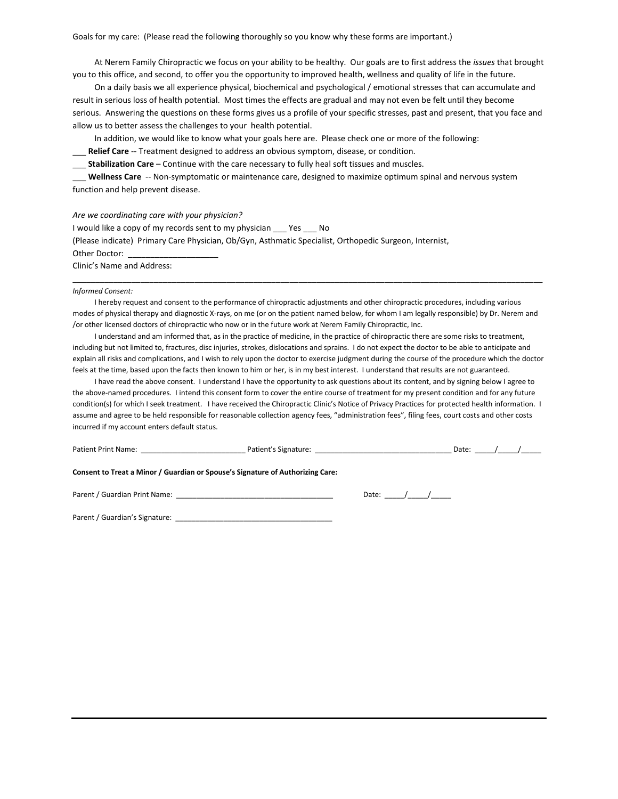Goals for my care: (Please read the following thoroughly so you know why these forms are important.)

At Nerem Family Chiropractic we focus on your ability to be healthy. Our goals are to first address the *issues* that brought you to this office, and second, to offer you the opportunity to improved health, wellness and quality of life in the future.

On a daily basis we all experience physical, biochemical and psychological / emotional stresses that can accumulate and result in serious loss of health potential. Most times the effects are gradual and may not even be felt until they become serious. Answering the questions on these forms gives us a profile of your specific stresses, past and present, that you face and allow us to better assess the challenges to your health potential.

In addition, we would like to know what your goals here are. Please check one or more of the following:

Relief Care -- Treatment designed to address an obvious symptom, disease, or condition.

\_\_\_ **Stabilization Care** – Continue with the care necessary to fully heal soft tissues and muscles.

\_\_\_ **Wellness Care** -- Non-symptomatic or maintenance care, designed to maximize optimum spinal and nervous system function and help prevent disease.

*Are we coordinating care with your physician?*

| I would like a copy of my records sent to my physician<br><b>Paragona</b><br>- No                      |
|--------------------------------------------------------------------------------------------------------|
| (Please indicate) Primary Care Physician, Ob/Gyn, Asthmatic Specialist, Orthopedic Surgeon, Internist, |
| Other Doctor:                                                                                          |
| Clinic's Name and Address:                                                                             |

#### *Informed Consent:*

I hereby request and consent to the performance of chiropractic adjustments and other chiropractic procedures, including various modes of physical therapy and diagnostic X-rays, on me (or on the patient named below, for whom I am legally responsible) by Dr. Nerem and /or other licensed doctors of chiropractic who now or in the future work at Nerem Family Chiropractic, Inc.

\_\_\_\_\_\_\_\_\_\_\_\_\_\_\_\_\_\_\_\_\_\_\_\_\_\_\_\_\_\_\_\_\_\_\_\_\_\_\_\_\_\_\_\_\_\_\_\_\_\_\_\_\_\_\_\_\_\_\_\_\_\_\_\_\_\_\_\_\_\_\_\_\_\_\_\_\_\_\_\_\_\_\_\_\_\_\_\_\_\_\_\_\_\_\_\_\_\_\_\_\_\_\_\_

I understand and am informed that, as in the practice of medicine, in the practice of chiropractic there are some risks to treatment, including but not limited to, fractures, disc injuries, strokes, dislocations and sprains. I do not expect the doctor to be able to anticipate and explain all risks and complications, and I wish to rely upon the doctor to exercise judgment during the course of the procedure which the doctor feels at the time, based upon the facts then known to him or her, is in my best interest. I understand that results are not guaranteed.

I have read the above consent. I understand I have the opportunity to ask questions about its content, and by signing below I agree to the above-named procedures. I intend this consent form to cover the entire course of treatment for my present condition and for any future condition(s) for which I seek treatment. I have received the Chiropractic Clinic's Notice of Privacy Practices for protected health information. I assume and agree to be held responsible for reasonable collection agency fees, "administration fees", filing fees, court costs and other costs incurred if my account enters default status.

| Consent to Treat a Minor / Guardian or Spouse's Signature of Authorizing Care: |             |                                                                                                                                   |
|--------------------------------------------------------------------------------|-------------|-----------------------------------------------------------------------------------------------------------------------------------|
|                                                                                |             |                                                                                                                                   |
|                                                                                |             |                                                                                                                                   |
|                                                                                | Date: $/$ / | Patient Print Name: Name and Society And Society Article Patient's Signature: Name and Society Article Patient<br>Date: $/$ / $/$ |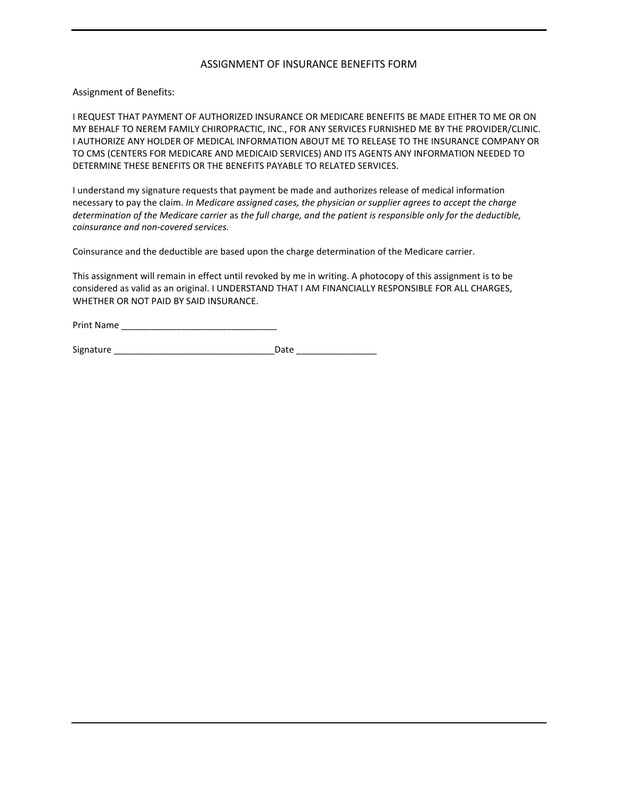### ASSIGNMENT OF INSURANCE BENEFITS FORM

Assignment of Benefits:

I REQUEST THAT PAYMENT OF AUTHORIZED INSURANCE OR MEDICARE BENEFITS BE MADE EITHER TO ME OR ON MY BEHALF TO NEREM FAMILY CHIROPRACTIC, INC., FOR ANY SERVICES FURNISHED ME BY THE PROVIDER/CLINIC. I AUTHORIZE ANY HOLDER OF MEDICAL INFORMATION ABOUT ME TO RELEASE TO THE INSURANCE COMPANY OR TO CMS (CENTERS FOR MEDICARE AND MEDICAID SERVICES) AND ITS AGENTS ANY INFORMATION NEEDED TO DETERMINE THESE BENEFITS OR THE BENEFITS PAYABLE TO RELATED SERVICES.

I understand my signature requests that payment be made and authorizes release of medical information necessary to pay the claim. *In Medicare assigned cases, the physician or supplier agrees to accept the charge determination of the Medicare carrier* as *the full charge, and the patient is responsible only for the deductible, coinsurance and non-covered services.* 

Coinsurance and the deductible are based upon the charge determination of the Medicare carrier.

This assignment will remain in effect until revoked by me in writing. A photocopy of this assignment is to be considered as valid as an original. I UNDERSTAND THAT I AM FINANCIALLY RESPONSIBLE FOR ALL CHARGES, WHETHER OR NOT PAID BY SAID INSURANCE.

| <b>Print Name</b> |  |
|-------------------|--|
|                   |  |

Signature \_\_\_\_\_\_\_\_\_\_\_\_\_\_\_\_\_\_\_\_\_\_\_\_\_\_\_\_\_\_\_\_Date \_\_\_\_\_\_\_\_\_\_\_\_\_\_\_\_